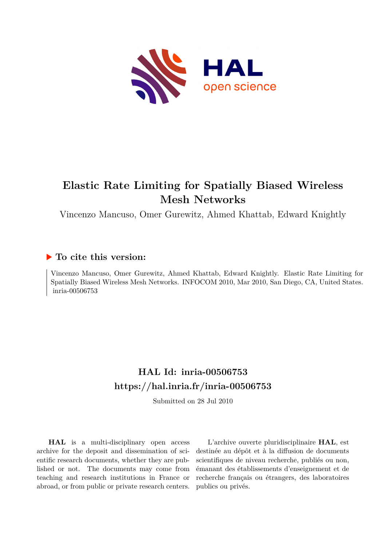

# **Elastic Rate Limiting for Spatially Biased Wireless Mesh Networks**

Vincenzo Mancuso, Omer Gurewitz, Ahmed Khattab, Edward Knightly

### **To cite this version:**

Vincenzo Mancuso, Omer Gurewitz, Ahmed Khattab, Edward Knightly. Elastic Rate Limiting for Spatially Biased Wireless Mesh Networks. INFOCOM 2010, Mar 2010, San Diego, CA, United States. inria-00506753

## **HAL Id: inria-00506753 <https://hal.inria.fr/inria-00506753>**

Submitted on 28 Jul 2010

**HAL** is a multi-disciplinary open access archive for the deposit and dissemination of scientific research documents, whether they are published or not. The documents may come from teaching and research institutions in France or abroad, or from public or private research centers.

L'archive ouverte pluridisciplinaire **HAL**, est destinée au dépôt et à la diffusion de documents scientifiques de niveau recherche, publiés ou non, émanant des établissements d'enseignement et de recherche français ou étrangers, des laboratoires publics ou privés.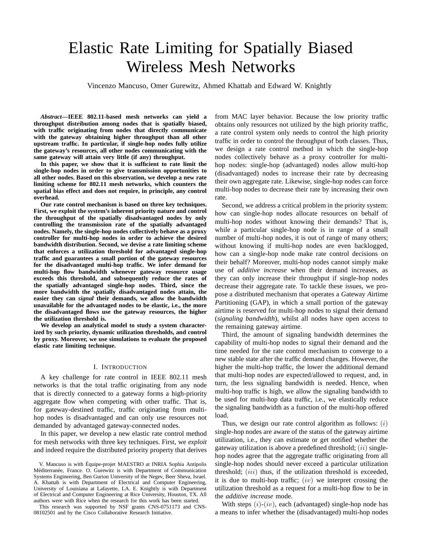# Elastic Rate Limiting for Spatially Biased Wireless Mesh Networks

Vincenzo Mancuso, Omer Gurewitz, Ahmed Khattab and Edward W. Knightly

*Abstract***—IEEE 802.11-based mesh networks can yield a throughput distribution among nodes that is spatially biased, with traffic originating from nodes that directly communicate with the gateway obtaining higher throughput than all other upstream traffic. In particular, if single-hop nodes fully utilize the gateway's resources, all other nodes communicating with the same gateway will attain very little (if any) throughput.**

**In this paper, we show that it is sufficient to rate limit the single-hop nodes in order to give transmission opportunities to all other nodes. Based on this observation, we develop a new rate limiting scheme for 802.11 mesh networks, which counters the spatial bias effect and does not require, in principle, any control overhead.**

**Our rate control mechanism is based on three key techniques. First, we exploit the system's inherent priority nature and control the throughput of the spatially disadvantaged nodes by only controlling the transmission rate of the spatially advantaged nodes. Namely, the single-hop nodes collectively behave as a proxy controller for multi-hop nodes in order to achieve the desired bandwidth distribution. Second, we devise a rate limiting scheme that enforces a utilization threshold for advantaged single-hop traffic and guarantees a small portion of the gateway resources for the disadvantaged multi-hop traffic. We infer demand for multi-hop flow bandwidth whenever gateway resource usage exceeds this threshold, and subsequently reduce the rates of the spatially advantaged single-hop nodes. Third, since the more bandwidth the spatially disadvantaged nodes attain, the easier they can** *signal* **their demands, we allow the bandwidth unavailable for the advantaged nodes to be elastic, i.e., the more the disadvantaged flows use the gateway resources, the higher the utilization threshold is.**

**We develop an analytical model to study a system characterized by such priority, dynamic utilization thresholds, and control by proxy. Moreover, we use simulations to evaluate the proposed elastic rate limiting technique.**

#### I. INTRODUCTION

A key challenge for rate control in IEEE 802.11 mesh networks is that the total traffic originating from any node that is directly connected to a gateway forms a high-priority aggregate flow when competing with other traffic. That is, for gateway-destined traffic, traffic originating from multihop nodes is disadvantaged and can only use resources not demanded by advantaged gateway-connected nodes.

In this paper, we develop a new elastic rate control method for mesh networks with three key techniques. First, we *exploit* and indeed require the distributed priority property that derives

This research was supported by NSF grants CNS-0751173 and CNS-08102501 and by the Cisco Collaborative Research Initiative.

from MAC layer behavior. Because the low priority traffic obtains only resources not utilized by the high priority traffic, a rate control system only needs to control the high priority traffic in order to control the throughput of both classes. Thus, we design a rate control method in which the single-hop nodes collectively behave as a proxy controller for multihop nodes: single-hop (advantaged) nodes allow multi-hop (disadvantaged) nodes to increase their rate by decreasing their own aggregate rate. Likewise, single-hop nodes can force multi-hop nodes to decrease their rate by increasing their own rate.

Second, we address a critical problem in the priority system: how can single-hop nodes allocate resources on behalf of multi-hop nodes without knowing their demands? That is, while a particular single-hop node is in range of a small number of multi-hop nodes, it is out of range of many others; without knowing if multi-hop nodes are even backlogged, how can a single-hop node make rate control decisions on their behalf? Moreover, multi-hop nodes cannot simply make use of *additive increase* when their demand increases, as they can only increase their throughput if single-hop nodes decrease their aggregate rate. To tackle these issues, we propose a distributed mechanism that operates a *G*ateway *A*irtime *P*artitioning (GAP), in which a small portion of the gateway airtime is reserved for multi-hop nodes to signal their demand (*signaling bandwidth*), whilst all nodes have open access to the remaining gateway airtime.

Third, the amount of signaling bandwidth determines the capability of multi-hop nodes to signal their demand and the time needed for the rate control mechanism to converge to a new stable state after the traffic demand changes. However, the higher the multi-hop traffic, the lower the additional demand that multi-hop nodes are expected/allowed to request, and, in turn, the less signaling bandwidth is needed. Hence, when multi-hop traffic is high, we allow the signaling bandwidth to be used for multi-hop data traffic, i.e., we elastically reduce the signaling bandwidth as a function of the multi-hop offered load.

Thus, we design our rate control algorithm as follows:  $(i)$ single-hop nodes are aware of the status of the gateway airtime utilization, i.e., they can estimate or get notified whether the gateway utilization is above a predefined threshold;  $(ii)$  singlehop nodes agree that the aggregate traffic originating from all single-hop nodes should never exceed a particular utilization threshold;  $(iii)$  thus, if the utilization threshold is exceeded, it is due to multi-hop traffic;  $(iv)$  we interpret crossing the utilization threshold as a request for a multi-hop flow to be in the *additive increase* mode.

With steps  $(i)-(iv)$ , each (advantaged) single-hop node has a means to infer whether the (disadvantaged) multi-hop nodes

V. Mancuso is with Equipe-projet MAESTRO at INRIA Sophia Antipolis ´ Méditerranée, France. O. Gurewitz is with Department of Communication Systems Engineering, Ben Gurion University of the Negev, Beer Sheva, Israel. A. Khattab is with Department of Electrical and Computer Engineering, University of Louisiana at Lafayette, LA. E. Knightly is with Department of Electrical and Computer Engineering at Rice University, Houston, TX. All authors were with Rice when the research for this work has been started.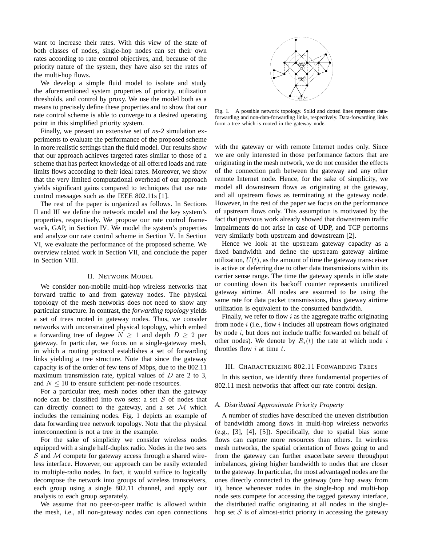want to increase their rates. With this view of the state of both classes of nodes, single-hop nodes can set their own rates according to rate control objectives, and, because of the priority nature of the system, they have also set the rates of the multi-hop flows.

We develop a simple fluid model to isolate and study the aforementioned system properties of priority, utilization thresholds, and control by proxy. We use the model both as a means to precisely define these properties and to show that our rate control scheme is able to converge to a desired operating point in this simplified priority system.

Finally, we present an extensive set of *ns-2* simulation experiments to evaluate the performance of the proposed scheme in more realistic settings than the fluid model. Our results show that our approach achieves targeted rates similar to those of a scheme that has perfect knowledge of all offered loads and rate limits flows according to their ideal rates. Moreover, we show that the very limited computational overhead of our approach yields significant gains compared to techniques that use rate control messages such as the IEEE 802.11s [1].

The rest of the paper is organized as follows. In Sections II and III we define the network model and the key system's properties, respectively. We propose our rate control framework, GAP, in Section IV. We model the system's properties and analyze our rate control scheme in Section V. In Section VI, we evaluate the performance of the proposed scheme. We overview related work in Section VII, and conclude the paper in Section VIII.

#### II. NETWORK MODEL

We consider non-mobile multi-hop wireless networks that forward traffic to and from gateway nodes. The physical topology of the mesh networks does not need to show any particular structure. In contrast, the *forwarding topology* yields a set of trees rooted in gateway nodes. Thus, we consider networks with unconstrained physical topology, which embed a forwarding tree of degree  $N \geq 1$  and depth  $D \geq 2$  per gateway. In particular, we focus on a single-gateway mesh, in which a routing protocol establishes a set of forwarding links yielding a tree structure. Note that since the gateway capacity is of the order of few tens of Mbps, due to the 802.11 maximum transmission rate, typical values of  $D$  are 2 to 3, and  $N \leq 10$  to ensure sufficient per-node resources.

For a particular tree, mesh nodes other than the gateway node can be classified into two sets: a set  $S$  of nodes that can directly connect to the gateway, and a set  $M$  which includes the remaining nodes. Fig. 1 depicts an example of data forwarding tree network topology. Note that the physical interconnection is not a tree in the example.

For the sake of simplicity we consider wireless nodes equipped with a single half-duplex radio. Nodes in the two sets  $S$  and  $M$  compete for gateway access through a shared wireless interface. However, our approach can be easily extended to multiple-radio nodes. In fact, it would suffice to logically decompose the network into groups of wireless transceivers, each group using a single 802.11 channel, and apply our analysis to each group separately.

We assume that no peer-to-peer traffic is allowed within the mesh, i.e., all non-gateway nodes can open connections



Fig. 1. A possible network topology. Solid and dotted lines represent dataforwarding and non-data-forwarding links, respectively. Data-forwarding links form a tree which is rooted in the gateway node.

with the gateway or with remote Internet nodes only. Since we are only interested in those performance factors that are originating in the mesh network, we do not consider the effects of the connection path between the gateway and any other remote Internet node. Hence, for the sake of simplicity, we model all downstream flows as originating at the gateway, and all upstream flows as terminating at the gateway node. However, in the rest of the paper we focus on the performance of upstream flows only. This assumption is motivated by the fact that previous work already showed that downstream traffic impairments do not arise in case of UDP, and TCP performs very similarly both upstream and downstream [2].

Hence we look at the upstream gateway capacity as a fixed bandwidth and define the upstream gateway airtime utilization,  $U(t)$ , as the amount of time the gateway transceiver is active or deferring due to other data transmissions within its carrier sense range. The time the gateway spends in idle state or counting down its backoff counter represents unutilized gateway airtime. All nodes are assumed to be using the same rate for data packet transmissions, thus gateway airtime utilization is equivalent to the consumed bandwidth.

Finally, we refer to flow  $i$  as the aggregate traffic originating from node  $i$  (i.e., flow  $i$  includes all upstream flows originated by node i, but does not include traffic forwarded on behalf of other nodes). We denote by  $R_i(t)$  the rate at which node i throttles flow  $i$  at time  $t$ .

#### III. CHARACTERIZING 802.11 FORWARDING TREES

In this section, we identify three fundamental properties of 802.11 mesh networks that affect our rate control design.

#### *A. Distributed Approximate Priority Property*

A number of studies have described the uneven distribution of bandwidth among flows in multi-hop wireless networks (e.g., [3], [4], [5]). Specifically, due to spatial bias some flows can capture more resources than others. In wireless mesh networks, the spatial orientation of flows going to and from the gateway can further exacerbate severe throughput imbalances, giving higher bandwidth to nodes that are closer to the gateway. In particular, the most advantaged nodes are the ones directly connected to the gateway (one hop away from it), hence whenever nodes in the single-hop and multi-hop node sets compete for accessing the tagged gateway interface, the distributed traffic originating at all nodes in the singlehop set  $S$  is of almost-strict priority in accessing the gateway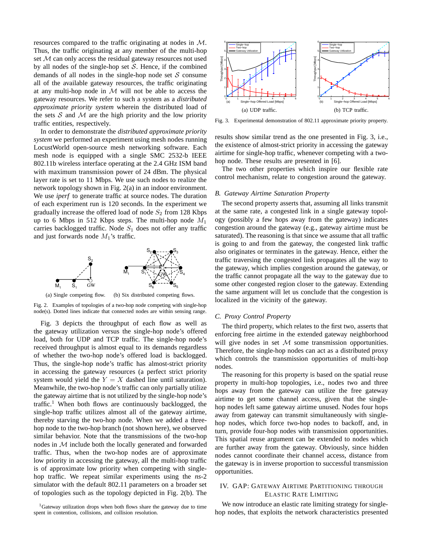resources compared to the traffic originating at nodes in M. Thus, the traffic originating at any member of the multi-hop set  $M$  can only access the residual gateway resources not used by all nodes of the single-hop set  $S$ . Hence, if the combined demands of all nodes in the single-hop node set  $S$  consume all of the available gateway resources, the traffic originating at any multi-hop node in  $M$  will not be able to access the gateway resources. We refer to such a system as a *distributed approximate priority system* wherein the distributed load of the sets  $S$  and  $M$  are the high priority and the low priority traffic entities, respectively.

In order to demonstrate the *distributed approximate priority system* we performed an experiment using mesh nodes running LocustWorld open-source mesh networking software. Each mesh node is equipped with a single SMC 2532-b IEEE 802.11b wireless interface operating at the 2.4 GHz ISM band with maximum transmission power of 24 dBm. The physical layer rate is set to 11 Mbps. We use such nodes to realize the network topology shown in Fig. 2(a) in an indoor environment. We use *iperf* to generate traffic at source nodes. The duration of each experiment run is 120 seconds. In the experiment we gradually increase the offered load of node  $S_2$  from 128 Kbps up to 6 Mbps in 512 Kbps steps. The multi-hop node  $M_1$ carries backlogged traffic. Node  $S_1$  does not offer any traffic and just forwards node  $M_1$ 's traffic.



Fig. 2. Examples of topologies of a two-hop node competing with single-hop node(s). Dotted lines indicate that connected nodes are within sensing range.

Fig. 3 depicts the throughput of each flow as well as the gateway utilization versus the single-hop node's offered load, both for UDP and TCP traffic. The single-hop node's received throughput is almost equal to its demands regardless of whether the two-hop node's offered load is backlogged. Thus, the single-hop node's traffic has almost-strict priority in accessing the gateway resources (a perfect strict priority system would yield the  $Y = X$  dashed line until saturation). Meanwhile, the two-hop node's traffic can only partially utilize the gateway airtime that is not utilized by the single-hop node's traffic.<sup>1</sup> When both flows are continuously backlogged, the single-hop traffic utilizes almost all of the gateway airtime, thereby starving the two-hop node. When we added a threehop node to the two-hop branch (not shown here), we observed similar behavior. Note that the transmissions of the two-hop nodes in M include both the locally generated and forwarded traffic. Thus, when the two-hop nodes are of approximate low priority in accessing the gateway, all the multi-hop traffic is of approximate low priority when competing with singlehop traffic. We repeat similar experiments using the *ns*-2 simulator with the default 802.11 parameters on a broader set of topologies such as the topology depicted in Fig. 2(b). The



Fig. 3. Experimental demonstration of 802.11 approximate priority property.

results show similar trend as the one presented in Fig. 3, i.e., the existence of almost-strict priority in accessing the gateway airtime for single-hop traffic, whenever competing with a twohop node. These results are presented in [6].

The two other properties which inspire our flexible rate control mechanism, relate to congestion around the gateway.

#### *B. Gateway Airtime Saturation Property*

The second property asserts that, assuming all links transmit at the same rate, a congested link in a single gateway topology (possibly a few hops away from the gateway) indicates congestion around the gateway (e.g., gateway airtime must be saturated). The reasoning is that since we assume that all traffic is going to and from the gateway, the congested link traffic also originates or terminates in the gateway. Hence, either the traffic traversing the congested link propagates all the way to the gateway, which implies congestion around the gateway, or the traffic cannot propagate all the way to the gateway due to some other congested region closer to the gateway. Extending the same argument will let us conclude that the congestion is localized in the vicinity of the gateway.

#### *C. Proxy Control Property*

The third property, which relates to the first two, asserts that enforcing free airtime in the extended gateway neighborhood will give nodes in set  $M$  some transmission opportunities. Therefore, the single-hop nodes can act as a distributed proxy which controls the transmission opportunities of multi-hop nodes.

The reasoning for this property is based on the spatial reuse property in multi-hop topologies, i.e., nodes two and three hops away from the gateway can utilize the free gateway airtime to get some channel access, given that the singlehop nodes left same gateway airtime unused. Nodes four hops away from gateway can transmit simultaneously with singlehop nodes, which force two-hop nodes to backoff, and, in turn, provide four-hop nodes with transmission opportunities. This spatial reuse argument can be extended to nodes which are further away from the gateway. Obviously, since hidden nodes cannot coordinate their channel access, distance from the gateway is in inverse proportion to successful transmission opportunities.

#### IV. GAP: GATEWAY AIRTIME PARTITIONING THROUGH ELASTIC RATE LIMITING

We now introduce an elastic rate limiting strategy for singlehop nodes, that exploits the network characteristics presented

<sup>&</sup>lt;sup>1</sup>Gateway utilization drops when both flows share the gateway due to time spent in contention, collisions, and collision resolution.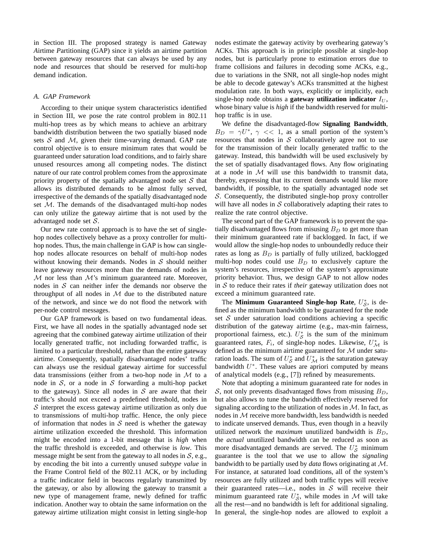in Section III. The proposed strategy is named *G*ateway *A*irtime *P*artitioning (GAP) since it yields an airtime partition between gateway resources that can always be used by any node and resources that should be reserved for multi-hop demand indication.

#### *A. GAP Framework*

According to their unique system characteristics identified in Section III, we pose the rate control problem in 802.11 multi-hop trees as by which means to achieve an arbitrary bandwidth distribution between the two spatially biased node sets  $S$  and  $M$ , given their time-varying demand. GAP rate control objective is to ensure minimum rates that would be guaranteed under saturation load conditions, and to fairly share unused resources among all competing nodes. The distinct nature of our rate control problem comes from the approximate priority property of the spatially advantaged node set  $S$  that allows its distributed demands to be almost fully served, irrespective of the demands of the spatially disadvantaged node set M. The demands of the disadvantaged multi-hop nodes can only utilize the gateway airtime that is not used by the advantaged node set S.

Our new rate control approach is to have the set of singlehop nodes collectively behave as a proxy controller for multihop nodes. Thus, the main challenge in GAP is how can singlehop nodes allocate resources on behalf of multi-hop nodes without knowing their demands. Nodes in  $S$  should neither leave gateway resources more than the demands of nodes in  $M$  nor less than  $M$ 's minimum guaranteed rate. Moreover, nodes in  $S$  can neither infer the demands nor observe the throughput of all nodes in  $M$  due to the distributed nature of the network, and since we do not flood the network with per-node control messages.

Our GAP framework is based on two fundamental ideas. First, we have all nodes in the spatially advantaged node set agreeing that the combined gateway airtime utilization of their locally generated traffic, not including forwarded traffic, is limited to a particular threshold, rather than the entire gateway airtime. Consequently, spatially disadvantaged nodes' traffic can always use the residual gateway airtime for successful data transmissions (either from a two-hop node in  $\mathcal M$  to a node in  $S$ , or a node in S forwarding a multi-hop packet to the gateway). Since all nodes in  $S$  are aware that their traffic's should not exceed a predefined threshold, nodes in  $S$  interpret the excess gateway airtime utilization as only due to transmissions of multi-hop traffic. Hence, the only piece of information that nodes in  $S$  need is whether the gateway airtime utilization exceeded the threshold. This information might be encoded into a 1-bit message that is *high* when the traffic threshold is exceeded, and otherwise is *low*. This message might be sent from the gateway to all nodes in  $S$ , e.g., by encoding the bit into a currently unused *subtype value* in the Frame Control field of the 802.11 ACK, or by including a traffic indicator field in beacons regularly transmitted by the gateway, or also by allowing the gateway to transmit a new type of management frame, newly defined for traffic indication. Another way to obtain the same information on the gateway airtime utilization might consist in letting single-hop

nodes estimate the gateway activity by overhearing gateway's ACKs. This approach is in principle possible at single-hop nodes, but is particularly prone to estimation errors due to frame collisions and failures in decoding some ACKs, e.g., due to variations in the SNR, not all single-hop nodes might be able to decode gateway's ACKs transmitted at the highest modulation rate. In both ways, explicitly or implicitly, each single-hop node obtains a **gateway utilization indicator**  $I_U$ , whose binary value is *high* if the bandwidth reserved for multihop traffic is in use.

We define the disadvantaged-flow **Signaling Bandwidth**,  $B_D = \gamma U^*$ ,  $\gamma \ll 1$ , as a small portion of the system's resources that nodes in  $S$  collaboratively agree not to use for the transmission of their locally generated traffic to the gateway. Instead, this bandwidth will be used exclusively by the set of spatially disadvantaged flows. Any flow originating at a node in  $M$  will use this bandwidth to transmit data, thereby, expressing that its current demands would like more bandwidth, if possible, to the spatially advantaged node set S. Consequently, the distributed single-hop proxy controller will have all nodes in  $S$  collaboratively adapting their rates to realize the rate control objective.

The second part of the GAP framework is to prevent the spatially disadvantaged flows from misusing  $B<sub>D</sub>$  to get more than their minimum guaranteed rate if backlogged. In fact, if we would allow the single-hop nodes to unboundedly reduce their rates as long as  $B_D$  is partially of fully utilized, backlogged multi-hop nodes could use  $B<sub>D</sub>$  to exclusively capture the system's resources, irrespective of the system's approximate priority behavior. Thus, we design GAP to not allow nodes in S to reduce their rates if *their* gateway utilization does not exceed a minimum guaranteed rate.

The **Minimum Guaranteed Single-hop Rate**,  $U_{\mathcal{S}}^*$ , is defined as the minimum bandwidth to be guaranteed for the node set  $S$  under saturation load conditions achieving a specific distribution of the gateway airtime (e.g., max-min fairness, proportional fairness, etc.).  $U_{\mathcal{S}}^*$  is the sum of the minimum guaranteed rates,  $F_i$ , of single-hop nodes. Likewise,  $U^*_{\mathcal{M}}$  is defined as the minimum airtime guaranteed for  $M$  under saturation loads. The sum of  $U_{\mathcal{S}}^*$  and  $U_{\mathcal{M}}^*$  is the saturation gateway bandwidth  $U^*$ . These values are apriori computed by means of analytical models (e.g., [7]) refined by measurements.

Note that adopting a minimum guaranteed rate for nodes in S, not only prevents disadvantaged flows from misusing  $B_D$ , but also allows to tune the bandwidth effectively reserved for signaling according to the utilization of nodes in  $M$ . In fact, as nodes in  $M$  receive more bandwidth, less bandwidth is needed to indicate unserved demands. Thus, even though in a heavily utilized network the *maximum* unutilized bandwidth is  $B_D$ , the *actual* unutilized bandwidth can be reduced as soon as more disadvantaged demands are served. The  $U_{\mathcal{S}}^*$  minimum guarantee is the tool that we use to allow the *signaling* bandwidth to be partially used by *data* flows originating at M. For instance, at saturated load conditions, all of the system's resources are fully utilized and both traffic types will receive their guaranteed rates—i.e., nodes in  $S$  will receive their minimum guaranteed rate  $U_{\mathcal{S}}^*$ , while modes in M will take all the rest—and no bandwidth is left for additional signaling. In general, the single-hop nodes are allowed to exploit a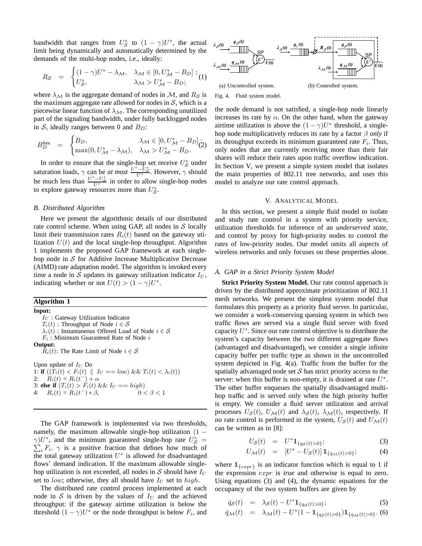bandwidth that ranges from  $U_{\mathcal{S}}^*$  to  $(1 - \gamma)U^*$ , the actual limit being dynamically and automatically determined by the demands of the multi-hop nodes, i.e., ideally:

$$
R_{\mathcal{S}} = \begin{cases} (1 - \gamma)U^* - \lambda_{\mathcal{M}}, & \lambda_{\mathcal{M}} \in [0, U^*_{\mathcal{M}} - B_D] \; ; \\ U^*_{\mathcal{S}}, & \lambda_{\mathcal{M}} > U^*_{\mathcal{M}} - B_D; \end{cases}
$$

where  $\lambda_{\mathcal{M}}$  is the aggregate demand of nodes in M, and  $R_{\mathcal{S}}$  is the maximum aggregate rate allowed for nodes in  $S$ , which is a piecewise linear function of  $\lambda_{\mathcal{M}}$ . The corresponding unutilized part of the signaling bandwidth, under fully backlogged nodes in S, ideally ranges between 0 and  $B_D$ :

$$
B_D^{\text{free}} = \begin{cases} B_D, & \lambda_{\mathcal{M}} \in [0, U_{\mathcal{M}}^* - B_D]; \\ \max(0, U_{\mathcal{M}}^* - \lambda_{\mathcal{M}}), & \lambda_{\mathcal{M}} > U_{\mathcal{M}}^* - B_D. \end{cases}
$$

In order to ensure that the single-hop set receive  $U_{\mathcal{S}}^*$  under saturation loads,  $\gamma$  can be *at most*  $\frac{U^* - U^*_{\infty}}{U^*}$ . However,  $\gamma$  should be much less than  $\frac{U^*-U^*_{\infty}}{U^*}$  in order to allow single-hop nodes to explore gateway resources more than  $U_{\mathcal{S}}^*$ .

#### *B. Distributed Algorithm*

Here we present the algorithmic details of our distributed rate control scheme. When using GAP, all nodes in  $S$  locally limit their transmission rates  $R_i(t)$  based on the gateway utilization  $U(t)$  and the local single-hop throughput. Algorithm 1 implements the proposed GAP framework at each singlehop node in  $S$  for Additive Increase Multiplicative Decrease (AIMD) rate adaptation model. The algorithm is invoked every time a node in S updates its gateway utilization indicator  $I_U$ , indicating whether or not  $U(t) > (1 - \gamma)U^*$ .

#### **Algorithm 1**

**Input:**  $I_U$ : Gateway Utilization Indicator  $T_i(t)$ : Throughput of Node  $i \in \mathcal{S}$  $\lambda_i(t)$ : Instantaneous Offered Load of Node  $i \in \mathcal{S}$  $F_i$ : Minimum Guaranteed Rate of Node  $i$ **Output:**  $R_i(t)$ : The Rate Limit of Node  $i \in \mathcal{S}$ Upon update of  $I_U$  Do 1: **if**  $((T_i(t) < F_i(t) \parallel I_U == low) \&\& T_i(t) < \lambda_i(t))$ 2:  $R_i(t) = R_i(t^-) + \alpha$ 3: **else if**  $(T_i(t) > F_i(t) \&\& I_U == high)$ 4:  $R_i(t) = R_i(t^-) * \beta$ ,  $0 < \beta < 1$ 

The GAP framework is implemented via two thresholds, namely, the maximum allowable single-hop utilization  $(1 \gamma$ ) $U^*$ , and the minimum guaranteed single-hop rate  $U^*_{\mathcal{S}}$  =  $\sum_i F_i$ .  $\gamma$  is a positive fraction that defines how much of the total gateway utilization  $U^*$  is allowed for disadvantaged flows' demand indication. If the maximum allowable singlehop utilization is not exceeded, all nodes in S should have  $I_U$ set to low; otherwise, they all should have  $I_U$  set to high.

The distributed rate control process implemented at each node in S is driven by the values of  $I_U$  and the achieved throughput: if the gateway airtime utilization is below the threshold  $(1 - \gamma)U^*$  or the node throughput is below  $F_i$ , and



Fig. 4. Fluid system model.

the node demand is not satisfied, a single-hop node linearly increases its rate by  $\alpha$ . On the other hand, when the gateway airtime utilization is above the  $(1 - \gamma)U^*$  threshold, a singlehop node multiplicatively reduces its rate by a factor β *only* if its throughput exceeds its minimum guaranteed rate  $F_i$ . Thus, only nodes that are currently receiving more than their fair shares will reduce their rates upon traffic overflow indication. In Section V, we present a simple system model that isolates the main properties of 802.11 tree networks, and uses this model to analyze our rate control approach.

#### V. ANALYTICAL MODEL

In this section, we present a simple fluid model to isolate and study rate control in a system with priority service, utilization thresholds for inference of an *underserved state*, and control by proxy for high-priority nodes to control the rates of low-priority nodes. Our model omits all aspects of wireless networks and only focuses on these properties alone.

#### *A. GAP in a Strict Priority System Model*

**Strict Priority System Model.** Our rate control approach is driven by the distributed approximate prioritization of 802.11 mesh networks. We present the simplest system model that formulates this property as a priority fluid server. In particular, we consider a work-conserving queuing system in which two traffic flows are served via a single fluid server with fixed capacity  $U^*$ . Since our rate control objective is to distribute the system's capacity between the two different aggregate flows (advantaged and disadvantaged), we consider a single infinite capacity buffer per traffic type as shown in the uncontrolled system depicted in Fig. 4(a). Traffic from the buffer for the spatially advantaged node set  $S$  has strict priority access to the server: when this buffer is non-empty, it is drained at rate  $U^*$ . The other buffer enqueues the spatially disadvantaged multihop traffic and is served only when the high priority buffer is empty. We consider a fluid server utilization and arrival processes  $U_{\mathcal{S}}(t)$ ,  $U_{\mathcal{M}}(t)$  and  $\lambda_{\mathcal{S}}(t)$ ,  $\lambda_{\mathcal{M}}(t)$ , respectively. If no rate control is performed in the system,  $U_{\mathcal{S}}(t)$  and  $U_{\mathcal{M}}(t)$ can be written as in [8]:

$$
U_{\mathcal{S}}(t) = U^* \mathbf{1}_{\{q_{\mathcal{S}}(t) > 0\}};
$$
 (3)

$$
U_{\mathcal{M}}(t) = [U^* - U_{\mathcal{S}}(t)] \mathbf{1}_{\{q_{\mathcal{M}}(t) > 0\}};
$$
 (4)

where  $1_{\{expr\}}$  is an indicator function which is equal to 1 if the expression expr is *true* and otherwise is equal to zero. Using equations (3) and (4), the dynamic equations for the occupancy of the two system buffers are given by

$$
\dot{q}_{\mathcal{S}}(t) = \lambda_{\mathcal{S}}(t) - U^* \mathbf{1}_{\{q_{\mathcal{S}}(t) > 0\}};
$$
\n<sup>(5)</sup>

$$
\dot{q}_{\mathcal{M}}(t) = \lambda_{\mathcal{M}}(t) - U^*(1 - \mathbf{1}_{\{q_{\mathcal{S}}(t) > 0\}}) \mathbf{1}_{\{q_{\mathcal{M}}(t) > 0\}}.
$$
 (6)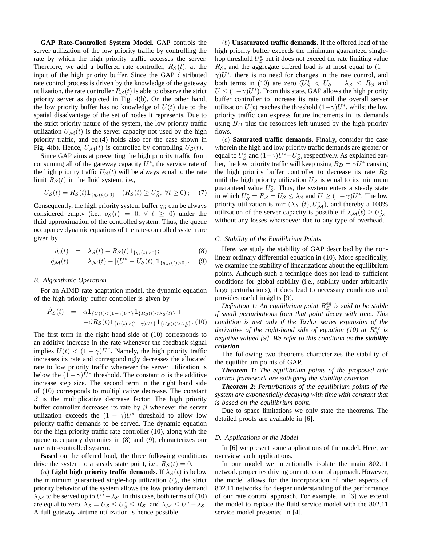**GAP Rate-Controlled System Model.** GAP controls the server utilization of the low priority traffic by controlling the rate by which the high priority traffic accesses the server. Therefore, we add a buffered rate controller,  $R<sub>S</sub>(t)$ , at the input of the high priority buffer. Since the GAP distributed rate control process is driven by the knowledge of the gateway utilization, the rate controller  $R_{\mathcal{S}}(t)$  is able to observe the strict priority server as depicted in Fig. 4(b). On the other hand, the low priority buffer has no knowledge of  $U(t)$  due to the spatial disadvantage of the set of nodes it represents. Due to the strict priority nature of the system, the low priority traffic utilization  $U_{\mathcal{M}}(t)$  is the server capacity not used by the high priority traffic, and eq.(4) holds also for the case shown in Fig. 4(b). Hence,  $U_{\mathcal{M}}(t)$  is controlled by controlling  $U_{\mathcal{S}}(t)$ .

Since GAP aims at preventing the high priority traffic from consuming all of the gateway capacity  $U^*$ , the service rate of the high priority traffic  $U_{\mathcal{S}}(t)$  will be always equal to the rate limit  $R_{\mathcal{S}}(t)$  in the fluid system, i.e.,

$$
U_{\mathcal{S}}(t) = R_{\mathcal{S}}(t) \mathbf{1}_{\{q_c(t) > 0\}} \quad (R_{\mathcal{S}}(t) \ge U_{\mathcal{S}}^*, \ \forall t \ge 0); \quad (7)
$$

Consequently, the high priority system buffer  $q_S$  can be always considered empty (i.e.,  $q_S(t) = 0, \forall t \geq 0$ ) under the fluid approximation of the controlled system. Thus, the queue occupancy dynamic equations of the rate-controlled system are given by

$$
\dot{q}_c(t) = \lambda_{\mathcal{S}}(t) - R_{\mathcal{S}}(t) \mathbf{1}_{\{q_c(t) > 0\}};
$$
\n(8)

$$
\dot{q}_{\mathcal{M}}(t) = \lambda_{\mathcal{M}}(t) - [(U^* - U_{\mathcal{S}}(t)] \, \mathbf{1}_{\{q_{\mathcal{M}}(t) > 0\}}. \quad (9)
$$

#### *B. Algorithmic Operation*

For an AIMD rate adaptation model, the dynamic equation of the high priority buffer controller is given by

$$
\dot{R}_{\mathcal{S}}(t) = \alpha \mathbf{1}_{\{U(t) < (1-\gamma)U^*\}} \mathbf{1}_{\{R_{\mathcal{S}}(t) < \lambda_{\mathcal{S}}(t)\}} + \\ -\beta R_{\mathcal{S}}(t) \mathbf{1}_{\{U(t) > (1-\gamma)U^*\}} \mathbf{1}_{\{U_{\mathcal{S}}(t) > U_{\mathcal{S}}^*\}}. \tag{10}
$$

The first term in the right hand side of (10) corresponds to an additive increase in the rate whenever the feedback signal implies  $U(t) < (1 - \gamma)U^*$ . Namely, the high priority traffic increases its rate and correspondingly decreases the allocated rate to low priority traffic whenever the server utilization is below the  $(1 - \gamma)U^*$  threshold. The constant  $\alpha$  is the additive increase step size. The second term in the right hand side of (10) corresponds to multiplicative decrease. The constant  $\beta$  is the multiplicative decrease factor. The high priority buffer controller decreases its rate by  $\beta$  whenever the server utilization exceeds the  $(1 - \gamma)U^*$  threshold to allow low priority traffic demands to be served. The dynamic equation for the high priority traffic rate controller (10), along with the queue occupancy dynamics in (8) and (9), characterizes our rate rate-controlled system.

Based on the offered load, the three following conditions drive the system to a steady state point, i.e.,  $\dot{R}_{\mathcal{S}}(t) = 0$ .

(a) **Light high priority traffic demands.** If  $\lambda_{\mathcal{S}}(t)$  is below the minimum guaranteed single-hop utilization  $U_{\mathcal{S}}^*$ , the strict priority behavior of the system allows the low priority demand  $\lambda_{\mathcal{M}}$  to be served up to  $U^* - \lambda_{\mathcal{S}}$ . In this case, both terms of (10) are equal to zero,  $\lambda_{\mathcal{S}} = U_{\mathcal{S}} \leq U_{\mathcal{S}}^* \leq R_{\mathcal{S}}$ , and  $\lambda_{\mathcal{M}} \leq U^* - \lambda_{\mathcal{S}}$ . A full gateway airtime utilization is hence possible.

(b) **Unsaturated traffic demands.** If the offered load of the high priority buffer exceeds the minimum guaranteed singlehop threshold  $U_{\mathcal{S}}^*$  but it does not exceed the rate limiting value  $R<sub>S</sub>$ , and the aggregate offered load is at most equal to (1 –  $\gamma$ ) $U^*$ , there is no need for changes in the rate control, and both terms in (10) are zero  $(U_{\mathcal{S}}^* < U_{\mathcal{S}} = \lambda_{\mathcal{S}} \leq R_{\mathcal{S}}$  and  $U \leq (1 - \gamma)U^*$ ). From this state, GAP allows the high priority buffer controller to increase its rate until the overall server utilization  $U(t)$  reaches the threshold  $(1-\gamma)U^*$ , whilst the low priority traffic can express future increments in its demands using  $B_D$  plus the resources left unused by the high priority flows.

(c) **Saturated traffic demands.** Finally, consider the case wherein the high and low priority traffic demands are greater or equal to  $U^*_{\mathcal{S}}$  and  $(1-\gamma)U^* - U^*_{\mathcal{S}}$ , respectively. As explained earlier, the low priority traffic will keep using  $B_D = \gamma U^*$  causing the high priority buffer controller to decrease its rate  $R<sub>S</sub>$ until the high priority utilization  $U_{\mathcal{S}}$  is equal to its minimum guaranteed value  $U_{\mathcal{S}}^*$ . Thus, the system enters a steady state in which  $U_{\mathcal{S}}^* = R_{\mathcal{S}} = U_{\mathcal{S}} \le \lambda_{\mathcal{S}}$  and  $U \ge (1 - \gamma)U^*$ . The low priority utilization is min  $(\lambda_{\mathcal{M}}(t), U^*_{\mathcal{M}})$ , and thereby a 100% utilization of the server capacity is possible if  $\lambda_{\mathcal{M}}(t) \ge U_{\mathcal{M}}^*$ , without any losses whatsoever due to any type of overhead.

#### *C. Stability of the Equilibrium Points*

Here, we study the stability of GAP described by the nonlinear ordinary differential equation in (10). More specifically, we examine the stability of linearizations about the equilibrium points. Although such a technique does not lead to sufficient conditions for global stability (i.e., stability under arbitrarily large perturbations), it does lead to necessary conditions and provides useful insights [9].

Definition 1: An equilibrium point  $R_S^{eq}$  is said to be stable *if small perturbations from that point decay with time. This condition is met only if the Taylor series expansion of the derivative of the right-hand side of equation (10) at*  $R_S^{eq}$  *is negative valued [9]. We refer to this condition as the stability criterion.*

The following two theorems characterizes the stability of the equilibrium points of GAP.

*Theorem 1: The equilibrium points of the proposed rate control framework are satisfying the stability criterion.*

*Theorem 2: Perturbations of the equilibrium points of the system are exponentially decaying with time with constant that is based on the equilibrium point.*

Due to space limitations we only state the theorems. The detailed proofs are available in [6].

#### *D. Applications of the Model*

In [6] we present some applications of the model. Here, we overview such applications.

In our model we intentionally isolate the main 802.11 network properties driving our rate control approach. However, the model allows for the incorporation of other aspects of 802.11 networks for deeper understanding of the performance of our rate control approach. For example, in [6] we extend the model to replace the fluid service model with the 802.11 service model presented in [4].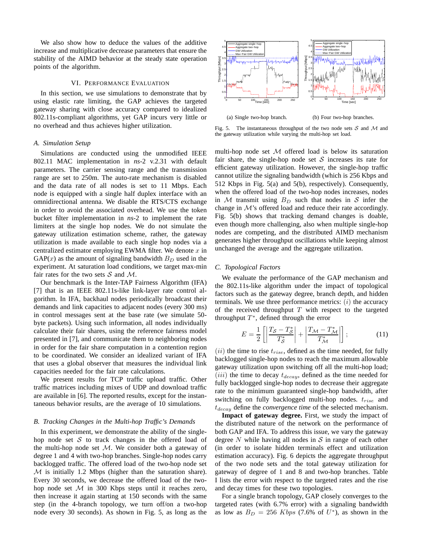We also show how to deduce the values of the additive increase and multiplicative decrease parameters that ensure the stability of the AIMD behavior at the steady state operation points of the algorithm.

#### VI. PERFORMANCE EVALUATION

In this section, we use simulations to demonstrate that by using elastic rate limiting, the GAP achieves the targeted gateway sharing with close accuracy compared to idealized 802.11s-compliant algorithms, yet GAP incurs very little or no overhead and thus achieves higher utilization.

#### *A. Simulation Setup*

Simulations are conducted using the unmodified IEEE 802.11 MAC implementation in *ns*-2 v.2.31 with default parameters. The carrier sensing range and the transmission range are set to 250m. The auto-rate mechanism is disabled and the data rate of all nodes is set to 11 Mbps. Each node is equipped with a single half duplex interface with an omnidirectional antenna. We disable the RTS/CTS exchange in order to avoid the associated overhead. We use the token bucket filter implementation in *ns*-2 to implement the rate limiters at the single hop nodes. We do not simulate the gateway utilization estimation scheme, rather, the gateway utilization is made available to each single hop nodes via a centralized estimator employing EWMA filter. We denote  $x$  in  $GAP(x)$  as the amount of signaling bandwidth  $B<sub>D</sub>$  used in the experiment. At saturation load conditions, we target max-min fair rates for the two sets  $S$  and  $M$ .

Our benchmark is the Inter-TAP Fairness Algorithm (IFA) [7] that is an IEEE 802.11s-like link-layer rate control algorithm. In IFA, backhaul nodes periodically broadcast their demands and link capacities to adjacent nodes (every 300 ms) in control messages sent at the base rate (we simulate 50 byte packets). Using such information, all nodes individually calculate their fair shares, using the reference fairness model presented in [7], and communicate them to neighboring nodes in order for the fair share computation in a contention region to be coordinated. We consider an idealized variant of IFA that uses a global observer that measures the individual link capacities needed for the fair rate calculations.

We present results for TCP traffic upload traffic. Other traffic matrices including mixes of UDP and download traffic are available in [6]. The reported results, except for the instantaneous behavior results, are the average of 10 simulations.

#### *B. Tracking Changes in the Multi-hop Traffic's Demands*

In this experiment, we demonstrate the ability of the singlehop node set  $S$  to track changes in the offered load of the multi-hop node set  $M$ . We consider both a gateway of degree 1 and 4 with two-hop branches. Single-hop nodes carry backlogged traffic. The offered load of the two-hop node set  $M$  is initially 1.2 Mbps (higher than the saturation share). Every 30 seconds, we decrease the offered load of the twohop node set  $M$  in 300 Kbps steps until it reaches zero, then increase it again starting at 150 seconds with the same step (in the 4-branch topology, we turn off/on a two-hop node every 30 seconds). As shown in Fig. 5, as long as the



Fig. 5. The instantaneous throughput of the two node sets  $S$  and  $M$  and the gateway utilization while varying the multi-hop set load.

multi-hop node set  $M$  offered load is below its saturation fair share, the single-hop node set  $S$  increases its rate for efficient gateway utilization. However, the single-hop traffic cannot utilize the signaling bandwidth (which is 256 Kbps and 512 Kbps in Fig. 5(a) and 5(b), respectively). Consequently, when the offered load of the two-hop nodes increases, nodes in M transmit using  $B_D$  such that nodes in S infer the change in M's offered load and reduce their rate accordingly. Fig. 5(b) shows that tracking demand changes is doable, even though more challenging, also when multiple single-hop nodes are competing, and the distributed AIMD mechanism generates higher throughput oscillations while keeping almost unchanged the average and the aggregate utilization.

#### *C. Topological Factors*

We evaluate the performance of the GAP mechanism and the 802.11s-like algorithm under the impact of topological factors such as the gateway degree, branch depth, and hidden terminals. We use three performance metrics:  $(i)$  the accuracy of the received throughput  $T$  with respect to the targeted throughput  $T^*$ , defined through the error

$$
E = \frac{1}{2} \left[ \left| \frac{T_S - T_S^*}{T_S^*} \right| + \left| \frac{T_M - T_M^*}{T_M^*} \right| \right];\tag{11}
$$

 $(ii)$  the time to rise  $t_{rise}$ , defined as the time needed, for fully backlogged single-hop nodes to reach the maximum allowable gateway utilization upon switching off all the multi-hop load;  $(iii)$  the time to decay  $t_{decay}$ , defined as the time needed for fully backlogged single-hop nodes to decrease their aggregate rate to the minimum guaranteed single-hop bandwidth, after switching on fully backlogged multi-hop nodes.  $t_{rise}$  and  $t_{decay}$  define the *convergence time* of the selected mechanism.

**Impact of gateway degree.** First, we study the impact of the distributed nature of the network on the performance of both GAP and IFA. To address this issue, we vary the gateway degree  $N$  while having all nodes in  $S$  in range of each other (in order to isolate hidden terminals effect and utilization estimation accuracy). Fig. 6 depicts the aggregate throughput of the two node sets and the total gateway utilization for gateway of degree of 1 and 8 and two-hop branches. Table I lists the error with respect to the targeted rates and the rise and decay times for these two topologies.

For a single branch topology, GAP closely converges to the targeted rates (with 6.7% error) with a signaling bandwidth as low as  $B_D = 256$  Kbps (7.6% of U<sup>\*</sup>), as shown in the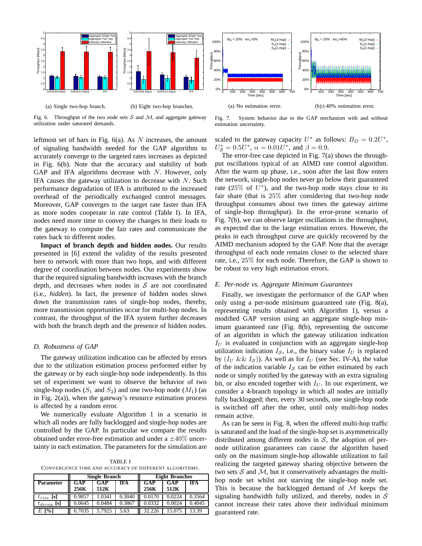

Fig. 6. Throughput of the two node sets  $S$  and  $M$ , and aggregate gateway utilization under saturated demands.

leftmost set of bars in Fig.  $6(a)$ . As N increases, the amount of signaling bandwidth needed for the GAP algorithm to accurately converge to the targeted rates increases as depicted in Fig. 6(b). Note that the accuracy and stability of both GAP and IFA algorithms decrease with N. However, only IFA causes the gateway utilization to decrease with  $N$ . Such performance degradation of IFA is attributed to the increased overhead of the periodically exchanged control messages. Moreover, GAP converges to the target rate faster than IFA as more nodes cooperate in rate control (Table I). In IFA, nodes need more time to convey the changes in their loads to the gateway to compute the fair rates and communicate the rates back to different nodes.

**Impact of branch depth and hidden nodes.** Our results presented in [6] extend the validity of the results presented here to network with more than two hops, and with different degree of coordination between nodes. Our experiments show that the required signaling bandwidth increases with the branch depth, and decreases when nodes in  $S$  are not coordinated (i.e., *hidden*). In fact, the presence of hidden nodes slows down the transmission rates of single-hop nodes, thereby, more transmission opportunities occur for multi-hop nodes. In contrast, the throughput of the IFA system further decreases with both the branch depth and the presence of hidden nodes.

#### *D. Robustness of GAP*

The gateway utilization indication can be affected by errors due to the utilization estimation process performed either by the gateway or by each single-hop node independently. In this set of experiment we want to observe the behavior of two single-hop nodes  $(S_1 \text{ and } S_2)$  and one two-hop node  $(M_1)$  (as in Fig. 2(a)), when the gateway's resource estimation process is affected by a random error.

We numerically evaluate Algorithm 1 in a scenario in which all nodes are fully backlogged and single-hop nodes are controlled by the GAP. In particular we compare the results obtained under error-free estimation and under a  $\pm 40\%$  uncertainty in each estimation. The parameters for the simulation are

TABLE I CONVERGENCE TIME AND ACCURACY OF DIFFERENT ALGORITHMS.

|                             | <b>Single Branch</b> |        |        | <b>Eight Branches</b> |        |            |
|-----------------------------|----------------------|--------|--------|-----------------------|--------|------------|
| <b>Parameter</b>            | GAP                  | GAP    | IFA    | GAP                   | GAP    | <b>IFA</b> |
|                             | 256K                 | 512K   |        | 256K                  | 512K   |            |
| [S]<br>$t_{rise}$           | 0.9857               |        | 0.3040 |                       |        | 3564       |
| [s]<br>$t_{decay}$          | 0.0645               | 0.0484 | 0.3867 | 0.0332                | 0.0024 | 0.4045     |
| $\lceil \frac{9}{6} \rceil$ | 6.7035               | 5.7925 | 5.63   | 32.226                | 15.075 |            |



Fig. 7. System behavior due to the GAP mechanism with and without estimation uncertainty.

scaled to the gateway capacity  $U^*$  as follows:  $B_D = 0.2U^*$ ,  $U_{\mathcal{S}}^* = 0.5U^*, \ \alpha = 0.01U^*, \ \text{and} \ \beta = 0.9.$ 

The error-free case depicted in Fig. 7(a) shows the throughput oscillations typical of an AIMD rate control algorithm. After the warm up phase, i.e., soon after the last flow enters the network, single-hop nodes never go below their guaranteed rate  $(25\% \text{ of } U^*)$ , and the two-hop node stays close to its fair share (that is 25% after considering that two-hop node throughput consumes about two times the gateway airtime of single-hop throughput). In the error-prone scenario of Fig. 7(b), we can observe larger oscillations in the throughput, as expected due to the large estimation errors. However, the peaks in each throughput curve are quickly recovered by the AIMD mechanism adopted by the GAP. Note that the average throughput of each node remains closer to the selected share rate, i.e., 25% for each node. Therefore, the GAP is shown to be robust to very high estimation errors.

#### *E. Per-node vs. Aggregate Minimum Guarantees*

Finally, we investigate the performance of the GAP when only using a per-node minimum guaranteed rate (Fig. 8(a), representing results obtained with Algorithm 1), versus a modified GAP version using an aggregate single-hop minimum guaranteed rate (Fig. 8(b), representing the outcome of an algorithm in which the gateway utilization indication  $I_U$  is evaluated in conjunction with an aggregate single-hop utilization indication  $I_{\mathcal{S}}$ , i.e., the binary value  $I_U$  is replaced by  $(I_U \&\& I_S)$ ). As well as for  $I_U$  (see Sec. IV-A), the value of the indication variable  $I_{\mathcal{S}}$  can be either estimated by each node or simply notified by the gateway with an extra signaling bit, or also encoded together with  $I_U$ . In our experiment, we consider a 4-branch topology in which all nodes are initially fully backlogged; then, every 30 seconds, one single-hop node is switched off after the other, until only multi-hop nodes remain active.

As can be seen in Fig. 8, when the offered multi-hop traffic is saturated and the load of the single-hop set is asymmetrically distributed among different nodes in  $S$ , the adoption of pernode utilization guarantees can cause the algorithm based only on the maximum single-hop allowable utilization to fail realizing the targeted gateway sharing objective between the two sets  $S$  and  $M$ , but it conservatively advantages the multihop node set whilst not starving the single-hop node set. This is because the backlogged demand of  $M$  keeps the signaling bandwidth fully utilized, and thereby, nodes in  $S$ cannot increase their rates above their individual minimum guaranteed rate.